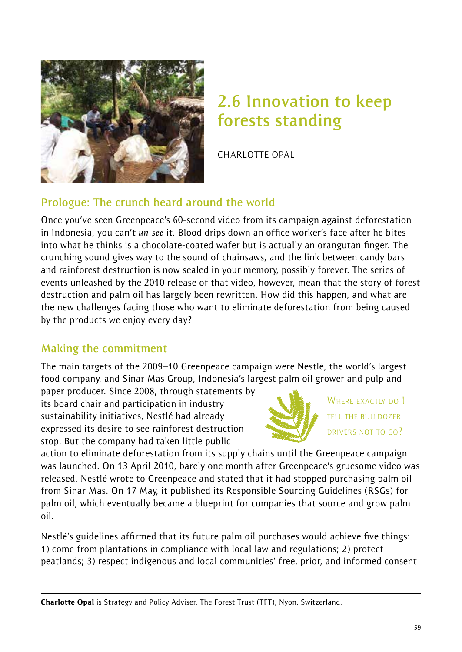

# **2.6 Innovation to keep forests standing**

CHARLOTTE OPAL

# **Prologue: The crunch heard around the world**

Once you've seen Greenpeace's 60-second video from its campaign against deforestation in Indonesia, you can't *un-see* it. Blood drips down an office worker's face after he bites into what he thinks is a chocolate-coated wafer but is actually an orangutan finger. The crunching sound gives way to the sound of chainsaws, and the link between candy bars and rainforest destruction is now sealed in your memory, possibly forever. The series of events unleashed by the 2010 release of that video, however, mean that the story of forest destruction and palm oil has largely been rewritten. How did this happen, and what are the new challenges facing those who want to eliminate deforestation from being caused by the products we enjoy every day?

# **Making the commitment**

The main targets of the 2009–10 Greenpeace campaign were Nestlé, the world's largest food company, and Sinar Mas Group, Indonesia's largest palm oil grower and pulp and

paper producer. Since 2008, through statements by its board chair and participation in industry sustainability initiatives, Nestlé had already expressed its desire to see rainforest destruction stop. But the company had taken little public



WHERE EXACTLY DO I TELL THE BULLDOZER DRIVERS NOT TO GO?

action to eliminate deforestation from its supply chains until the Greenpeace campaign was launched. On 13 April 2010, barely one month after Greenpeace's gruesome video was released, Nestlé wrote to Greenpeace and stated that it had stopped purchasing palm oil from Sinar Mas. On 17 May, it published its Responsible Sourcing Guidelines (RSGs) for palm oil, which eventually became a blueprint for companies that source and grow palm oil.

Nestlé's guidelines affirmed that its future palm oil purchases would achieve five things: 1) come from plantations in compliance with local law and regulations; 2) protect peatlands; 3) respect indigenous and local communities' free, prior, and informed consent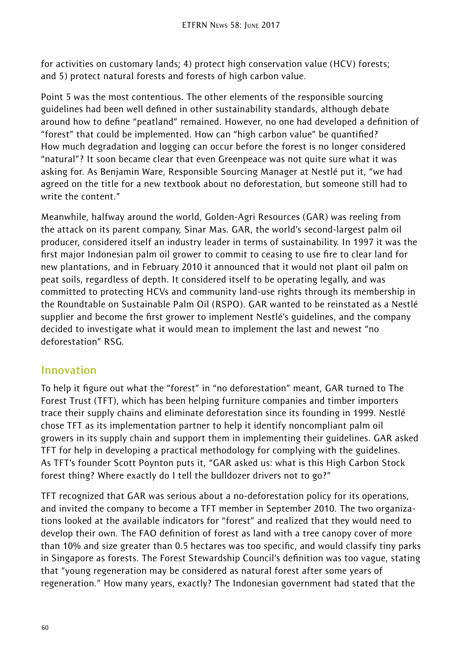for activities on customary lands; 4) protect high conservation value (HCV) forests; and 5) protect natural forests and forests of high carbon value.

Point 5 was the most contentious. The other elements of the responsible sourcing guidelines had been well defined in other sustainability standards, although debate around how to define "peatland" remained. However, no one had developed a definition of "forest" that could be implemented. How can "high carbon value" be quantified? How much degradation and logging can occur before the forest is no longer considered "natural"? It soon became clear that even Greenpeace was not quite sure what it was asking for. As Benjamin Ware, Responsible Sourcing Manager at Nestlé put it, "we had agreed on the title for a new textbook about no deforestation, but someone still had to write the content."

Meanwhile, halfway around the world, Golden-Agri Resources (GAR) was reeling from the attack on its parent company, Sinar Mas. GAR, the world's second-largest palm oil producer, considered itself an industry leader in terms of sustainability. In 1997 it was the first major Indonesian palm oil grower to commit to ceasing to use fire to clear land for new plantations, and in February 2010 it announced that it would not plant oil palm on peat soils, regardless of depth. It considered itself to be operating legally, and was committed to protecting HCVs and community land-use rights through its membership in the Roundtable on Sustainable Palm Oil (RSPO). GAR wanted to be reinstated as a Nestlé supplier and become the first grower to implement Nestlé's guidelines, and the company decided to investigate what it would mean to implement the last and newest "no deforestation" RSG.

## **Innovation**

To help it figure out what the "forest" in "no deforestation" meant, GAR turned to The Forest Trust (TFT), which has been helping furniture companies and timber importers trace their supply chains and eliminate deforestation since its founding in 1999. Nestlé chose TFT as its implementation partner to help it identify noncompliant palm oil growers in its supply chain and support them in implementing their guidelines. GAR asked TFT for help in developing a practical methodology for complying with the guidelines. As TFT's founder Scott Poynton puts it, "GAR asked us: what is this High Carbon Stock forest thing? Where exactly do I tell the bulldozer drivers not to go?"

TFT recognized that GAR was serious about a no-deforestation policy for its operations, and invited the company to become a TFT member in September 2010. The two organizations looked at the available indicators for "forest" and realized that they would need to develop their own. The FAO definition of forest as land with a tree canopy cover of more than 10% and size greater than 0.5 hectares was too specific, and would classify tiny parks in Singapore as forests. The Forest Stewardship Council's definition was too vague, stating that "young regeneration may be considered as natural forest after some years of regeneration." How many years, exactly? The Indonesian government had stated that the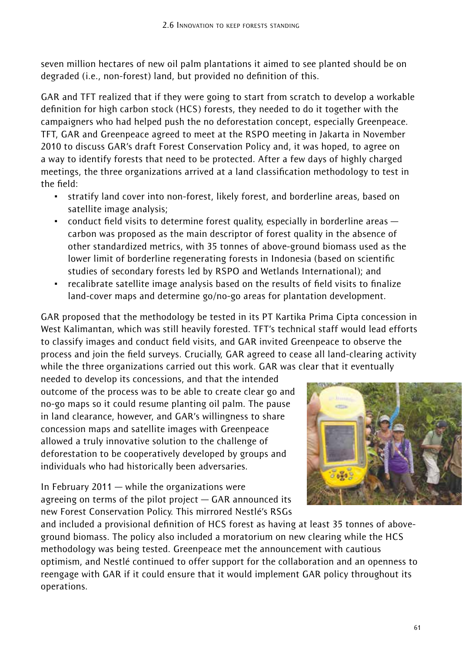seven million hectares of new oil palm plantations it aimed to see planted should be on degraded (i.e., non-forest) land, but provided no definition of this.

GAR and TFT realized that if they were going to start from scratch to develop a workable definition for high carbon stock (HCS) forests, they needed to do it together with the campaigners who had helped push the no deforestation concept, especially Greenpeace. TFT, GAR and Greenpeace agreed to meet at the RSPO meeting in Jakarta in November 2010 to discuss GAR's draft Forest Conservation Policy and, it was hoped, to agree on a way to identify forests that need to be protected. After a few days of highly charged meetings, the three organizations arrived at a land classification methodology to test in the field:

- ~ stratify land cover into non-forest, likely forest, and borderline areas, based on satellite image analysis;
- $\epsilon$  conduct field visits to determine forest quality, especially in borderline areas  $$ carbon was proposed as the main descriptor of forest quality in the absence of other standardized metrics, with 35 tonnes of above-ground biomass used as the lower limit of borderline regenerating forests in Indonesia (based on scientific studies of secondary forests led by RSPO and Wetlands International); and
- ~ recalibrate satellite image analysis based on the results of field visits to finalize land-cover maps and determine go/no-go areas for plantation development.

GAR proposed that the methodology be tested in its PT Kartika Prima Cipta concession in West Kalimantan, which was still heavily forested. TFT's technical staff would lead efforts to classify images and conduct field visits, and GAR invited Greenpeace to observe the process and join the field surveys. Crucially, GAR agreed to cease all land-clearing activity while the three organizations carried out this work. GAR was clear that it eventually

needed to develop its concessions, and that the intended outcome of the process was to be able to create clear go and no-go maps so it could resume planting oil palm. The pause in land clearance, however, and GAR's willingness to share concession maps and satellite images with Greenpeace allowed a truly innovative solution to the challenge of deforestation to be cooperatively developed by groups and individuals who had historically been adversaries.

In February 2011 — while the organizations were agreeing on terms of the pilot project — GAR announced its new Forest Conservation Policy. This mirrored Nestlé's RSGs



and included a provisional definition of HCS forest as having at least 35 tonnes of aboveground biomass. The policy also included a moratorium on new clearing while the HCS methodology was being tested. Greenpeace met the announcement with cautious optimism, and Nestlé continued to offer support for the collaboration and an openness to reengage with GAR if it could ensure that it would implement GAR policy throughout its operations.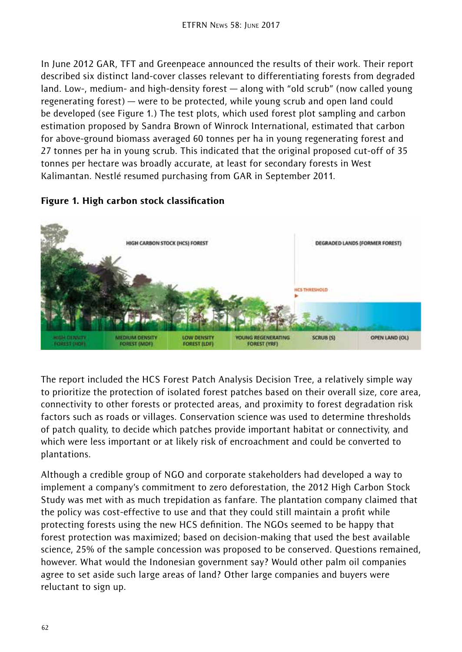In June 2012 GAR, TFT and Greenpeace announced the results of their work. Their report described six distinct land-cover classes relevant to differentiating forests from degraded land. Low-, medium- and high-density forest — along with "old scrub" (now called young regenerating forest) — were to be protected, while young scrub and open land could be developed (see Figure 1.) The test plots, which used forest plot sampling and carbon estimation proposed by Sandra Brown of Winrock International, estimated that carbon for above-ground biomass averaged 60 tonnes per ha in young regenerating forest and 27 tonnes per ha in young scrub. This indicated that the original proposed cut-off of 35 tonnes per hectare was broadly accurate, at least for secondary forests in West Kalimantan. Nestlé resumed purchasing from GAR in September 2011.



#### Figure 1. High carbon stock classification

The report included the HCS Forest Patch Analysis Decision Tree, a relatively simple way to prioritize the protection of isolated forest patches based on their overall size, core area, connectivity to other forests or protected areas, and proximity to forest degradation risk factors such as roads or villages. Conservation science was used to determine thresholds of patch quality, to decide which patches provide important habitat or connectivity, and which were less important or at likely risk of encroachment and could be converted to plantations.

Although a credible group of NGO and corporate stakeholders had developed a way to implement a company's commitment to zero deforestation, the 2012 High Carbon Stock Study was met with as much trepidation as fanfare. The plantation company claimed that the policy was cost-effective to use and that they could still maintain a profit while protecting forests using the new HCS definition. The NGOs seemed to be happy that forest protection was maximized; based on decision-making that used the best available science, 25% of the sample concession was proposed to be conserved. Questions remained, however. What would the Indonesian government say? Would other palm oil companies agree to set aside such large areas of land? Other large companies and buyers were reluctant to sign up.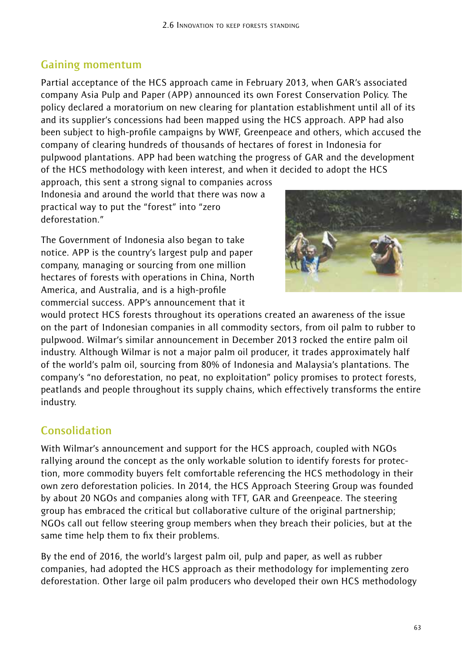## **Gaining momentum**

Partial acceptance of the HCS approach came in February 2013, when GAR's associated company Asia Pulp and Paper (APP) announced its own Forest Conservation Policy. The policy declared a moratorium on new clearing for plantation establishment until all of its and its supplier's concessions had been mapped using the HCS approach. APP had also been subject to high-profile campaigns by WWF, Greenpeace and others, which accused the company of clearing hundreds of thousands of hectares of forest in Indonesia for pulpwood plantations. APP had been watching the progress of GAR and the development of the HCS methodology with keen interest, and when it decided to adopt the HCS

approach, this sent a strong signal to companies across Indonesia and around the world that there was now a practical way to put the "forest" into "zero deforestation."

The Government of Indonesia also began to take notice. APP is the country's largest pulp and paper company, managing or sourcing from one million hectares of forests with operations in China, North America, and Australia, and is a high-profile commercial success. APP's announcement that it



would protect HCS forests throughout its operations created an awareness of the issue on the part of Indonesian companies in all commodity sectors, from oil palm to rubber to pulpwood. Wilmar's similar announcement in December 2013 rocked the entire palm oil industry. Although Wilmar is not a major palm oil producer, it trades approximately half of the world's palm oil, sourcing from 80% of Indonesia and Malaysia's plantations. The company's "no deforestation, no peat, no exploitation" policy promises to protect forests, peatlands and people throughout its supply chains, which effectively transforms the entire industry.

# **Consolidation**

With Wilmar's announcement and support for the HCS approach, coupled with NGOs rallying around the concept as the only workable solution to identify forests for protection, more commodity buyers felt comfortable referencing the HCS methodology in their own zero deforestation policies. In 2014, the HCS Approach Steering Group was founded by about 20 NGOs and companies along with TFT, GAR and Greenpeace. The steering group has embraced the critical but collaborative culture of the original partnership; NGOs call out fellow steering group members when they breach their policies, but at the same time help them to fix their problems.

By the end of 2016, the world's largest palm oil, pulp and paper, as well as rubber companies, had adopted the HCS approach as their methodology for implementing zero deforestation. Other large oil palm producers who developed their own HCS methodology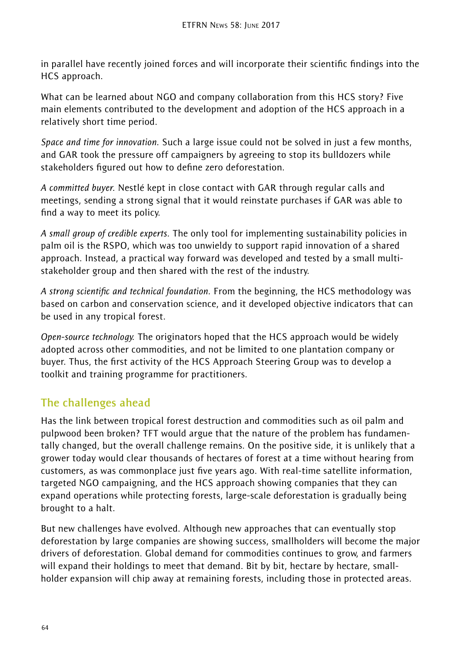in parallel have recently joined forces and will incorporate their scientific findings into the HCS approach.

What can be learned about NGO and company collaboration from this HCS story? Five main elements contributed to the development and adoption of the HCS approach in a relatively short time period.

*Space and time for innovation.* Such a large issue could not be solved in just a few months, and GAR took the pressure off campaigners by agreeing to stop its bulldozers while stakeholders figured out how to define zero deforestation.

*A committed buyer.* Nestlé kept in close contact with GAR through regular calls and meetings, sending a strong signal that it would reinstate purchases if GAR was able to find a way to meet its policy.

*A small group of credible experts.* The only tool for implementing sustainability policies in palm oil is the RSPO, which was too unwieldy to support rapid innovation of a shared approach. Instead, a practical way forward was developed and tested by a small multistakeholder group and then shared with the rest of the industry.

*A strong scientific and technical foundation.* From the beginning, the HCS methodology was based on carbon and conservation science, and it developed objective indicators that can be used in any tropical forest.

*Open-source technology.* The originators hoped that the HCS approach would be widely adopted across other commodities, and not be limited to one plantation company or buyer. Thus, the first activity of the HCS Approach Steering Group was to develop a toolkit and training programme for practitioners.

# **The challenges ahead**

Has the link between tropical forest destruction and commodities such as oil palm and pulpwood been broken? TFT would argue that the nature of the problem has fundamentally changed, but the overall challenge remains. On the positive side, it is unlikely that a grower today would clear thousands of hectares of forest at a time without hearing from customers, as was commonplace just five years ago. With real-time satellite information, targeted NGO campaigning, and the HCS approach showing companies that they can expand operations while protecting forests, large-scale deforestation is gradually being brought to a halt.

But new challenges have evolved. Although new approaches that can eventually stop deforestation by large companies are showing success, smallholders will become the major drivers of deforestation. Global demand for commodities continues to grow, and farmers will expand their holdings to meet that demand. Bit by bit, hectare by hectare, smallholder expansion will chip away at remaining forests, including those in protected areas.